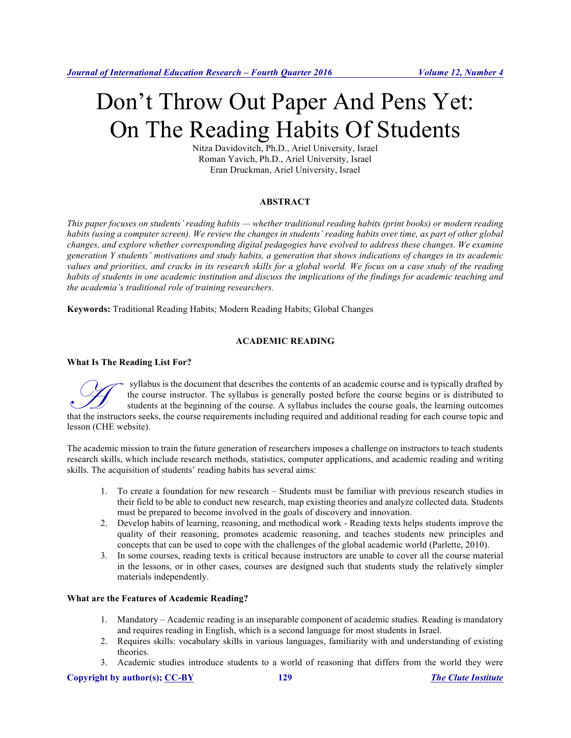# Don't Throw Out Paper And Pens Yet: On The Reading Habits Of Students

Nitza Davidovitch, Ph.D., Ariel University, Israel Roman Yavich, Ph.D., Ariel University, Israel Eran Druckman, Ariel University, Israel

# **ABSTRACT**

*This paper focuses on students' reading habits — whether traditional reading habits (print books) or modern reading habits (using a computer screen). We review the changes in students' reading habits over time, as part of other global changes, and explore whether corresponding digital pedagogies have evolved to address these changes. We examine generation Y students' motivations and study habits, a generation that shows indications of changes in its academic values and priorities, and cracks in its research skills for a global world. We focus on a case study of the reading habits of students in one academic institution and discuss the implications of the findings for academic teaching and the academia's traditional role of training researchers.* 

**Keywords:** Traditional Reading Habits; Modern Reading Habits; Global Changes

# **ACADEMIC READING**

#### **What Is The Reading List For?**

syllabus is the document that describes the contents of an academic course and is typically drafted by the course instructor. The syllabus is generally posted before the course begins or is distributed to students at the beginning of the course. A syllabus includes the course goals, the learning outcomes syllabus is the document that describes the contents of an academic course and is typically drafted by<br>the course instructor. The syllabus is generally posted before the course begins or is distributed to<br>students at the b lesson (CHE website).

The academic mission to train the future generation of researchers imposes a challenge on instructors to teach students research skills, which include research methods, statistics, computer applications, and academic reading and writing skills. The acquisition of students' reading habits has several aims:

- 1. To create a foundation for new research Students must be familiar with previous research studies in their field to be able to conduct new research, map existing theories and analyze collected data. Students must be prepared to become involved in the goals of discovery and innovation.
- 2. Develop habits of learning, reasoning, and methodical work Reading texts helps students improve the quality of their reasoning, promotes academic reasoning, and teaches students new principles and concepts that can be used to cope with the challenges of the global academic world (Parlette, 2010).
- 3. In some courses, reading texts is critical because instructors are unable to cover all the course material in the lessons, or in other cases, courses are designed such that students study the relatively simpler materials independently.

# **What are the Features of Academic Reading?**

- 1. Mandatory Academic reading is an inseparable component of academic studies. Reading is mandatory and requires reading in English, which is a second language for most students in Israel.
- 2. Requires skills: vocabulary skills in various languages, familiarity with and understanding of existing theories.
- 3. Academic studies introduce students to a world of reasoning that differs from the world they were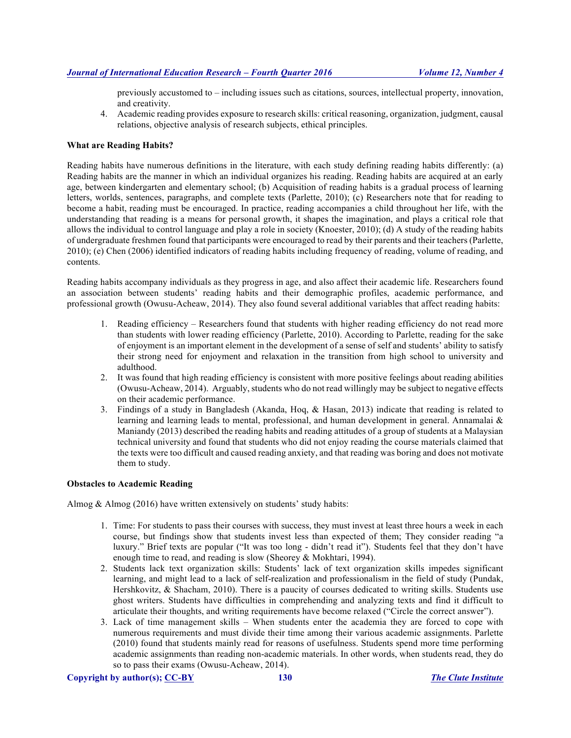previously accustomed to – including issues such as citations, sources, intellectual property, innovation, and creativity.

4. Academic reading provides exposure to research skills: critical reasoning, organization, judgment, causal relations, objective analysis of research subjects, ethical principles.

#### **What are Reading Habits?**

Reading habits have numerous definitions in the literature, with each study defining reading habits differently: (a) Reading habits are the manner in which an individual organizes his reading. Reading habits are acquired at an early age, between kindergarten and elementary school; (b) Acquisition of reading habits is a gradual process of learning letters, worlds, sentences, paragraphs, and complete texts (Parlette, 2010); (c) Researchers note that for reading to become a habit, reading must be encouraged. In practice, reading accompanies a child throughout her life, with the understanding that reading is a means for personal growth, it shapes the imagination, and plays a critical role that allows the individual to control language and play a role in society (Knoester, 2010); (d) A study of the reading habits of undergraduate freshmen found that participants were encouraged to read by their parents and their teachers (Parlette, 2010); (e) Chen (2006) identified indicators of reading habits including frequency of reading, volume of reading, and contents.

Reading habits accompany individuals as they progress in age, and also affect their academic life. Researchers found an association between students' reading habits and their demographic profiles, academic performance, and professional growth (Owusu-Acheaw, 2014). They also found several additional variables that affect reading habits:

- 1. Reading efficiency Researchers found that students with higher reading efficiency do not read more than students with lower reading efficiency (Parlette, 2010). According to Parlette, reading for the sake of enjoyment is an important element in the development of a sense of self and students' ability to satisfy their strong need for enjoyment and relaxation in the transition from high school to university and adulthood.
- 2. It was found that high reading efficiency is consistent with more positive feelings about reading abilities (Owusu-Acheaw, 2014). Arguably, students who do not read willingly may be subject to negative effects on their academic performance.
- 3. Findings of a study in Bangladesh (Akanda, Hoq, & Hasan, 2013) indicate that reading is related to learning and learning leads to mental, professional, and human development in general. Annamalai & Maniandy (2013) described the reading habits and reading attitudes of a group of students at a Malaysian technical university and found that students who did not enjoy reading the course materials claimed that the texts were too difficult and caused reading anxiety, and that reading was boring and does not motivate them to study.

#### **Obstacles to Academic Reading**

Almog  $&$  Almog (2016) have written extensively on students' study habits:

- 1. Time: For students to pass their courses with success, they must invest at least three hours a week in each course, but findings show that students invest less than expected of them; They consider reading "a luxury." Brief texts are popular ("It was too long - didn't read it"). Students feel that they don't have enough time to read, and reading is slow (Sheorey & Mokhtari, 1994).
- 2. Students lack text organization skills: Students' lack of text organization skills impedes significant learning, and might lead to a lack of self-realization and professionalism in the field of study (Pundak, Hershkovitz, & Shacham, 2010). There is a paucity of courses dedicated to writing skills. Students use ghost writers. Students have difficulties in comprehending and analyzing texts and find it difficult to articulate their thoughts, and writing requirements have become relaxed ("Circle the correct answer").
- 3. Lack of time management skills When students enter the academia they are forced to cope with numerous requirements and must divide their time among their various academic assignments. Parlette (2010) found that students mainly read for reasons of usefulness. Students spend more time performing academic assignments than reading non-academic materials. In other words, when students read, they do so to pass their exams (Owusu-Acheaw, 2014).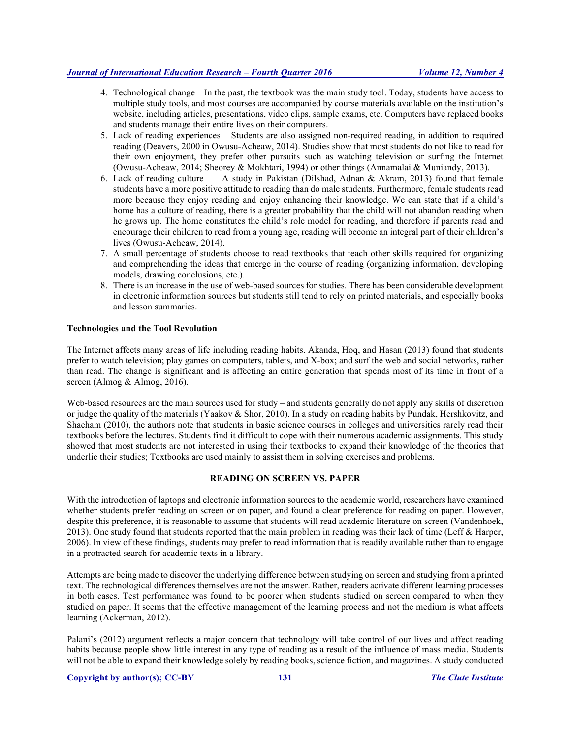- 4. Technological change In the past, the textbook was the main study tool. Today, students have access to multiple study tools, and most courses are accompanied by course materials available on the institution's website, including articles, presentations, video clips, sample exams, etc. Computers have replaced books and students manage their entire lives on their computers.
- 5. Lack of reading experiences Students are also assigned non-required reading, in addition to required reading (Deavers, 2000 in Owusu-Acheaw, 2014). Studies show that most students do not like to read for their own enjoyment, they prefer other pursuits such as watching television or surfing the Internet (Owusu-Acheaw, 2014; Sheorey & Mokhtari, 1994) or other things (Annamalai & Muniandy, 2013).
- 6. Lack of reading culture A study in Pakistan (Dilshad, Adnan & Akram, 2013) found that female students have a more positive attitude to reading than do male students. Furthermore, female students read more because they enjoy reading and enjoy enhancing their knowledge. We can state that if a child's home has a culture of reading, there is a greater probability that the child will not abandon reading when he grows up. The home constitutes the child's role model for reading, and therefore if parents read and encourage their children to read from a young age, reading will become an integral part of their children's lives (Owusu-Acheaw, 2014).
- 7. A small percentage of students choose to read textbooks that teach other skills required for organizing and comprehending the ideas that emerge in the course of reading (organizing information, developing models, drawing conclusions, etc.).
- 8. There is an increase in the use of web-based sources for studies. There has been considerable development in electronic information sources but students still tend to rely on printed materials, and especially books and lesson summaries.

# **Technologies and the Tool Revolution**

The Internet affects many areas of life including reading habits. Akanda, Hoq, and Hasan (2013) found that students prefer to watch television; play games on computers, tablets, and X-box; and surf the web and social networks, rather than read. The change is significant and is affecting an entire generation that spends most of its time in front of a screen (Almog & Almog, 2016).

Web-based resources are the main sources used for study – and students generally do not apply any skills of discretion or judge the quality of the materials (Yaakov & Shor, 2010). In a study on reading habits by Pundak, Hershkovitz, and Shacham (2010), the authors note that students in basic science courses in colleges and universities rarely read their textbooks before the lectures. Students find it difficult to cope with their numerous academic assignments. This study showed that most students are not interested in using their textbooks to expand their knowledge of the theories that underlie their studies; Textbooks are used mainly to assist them in solving exercises and problems.

# **READING ON SCREEN VS. PAPER**

With the introduction of laptops and electronic information sources to the academic world, researchers have examined whether students prefer reading on screen or on paper, and found a clear preference for reading on paper. However, despite this preference, it is reasonable to assume that students will read academic literature on screen (Vandenhoek, 2013). One study found that students reported that the main problem in reading was their lack of time (Leff & Harper, 2006). In view of these findings, students may prefer to read information that is readily available rather than to engage in a protracted search for academic texts in a library.

Attempts are being made to discover the underlying difference between studying on screen and studying from a printed text. The technological differences themselves are not the answer. Rather, readers activate different learning processes in both cases. Test performance was found to be poorer when students studied on screen compared to when they studied on paper. It seems that the effective management of the learning process and not the medium is what affects learning (Ackerman, 2012).

Palani's (2012) argument reflects a major concern that technology will take control of our lives and affect reading habits because people show little interest in any type of reading as a result of the influence of mass media. Students will not be able to expand their knowledge solely by reading books, science fiction, and magazines. A study conducted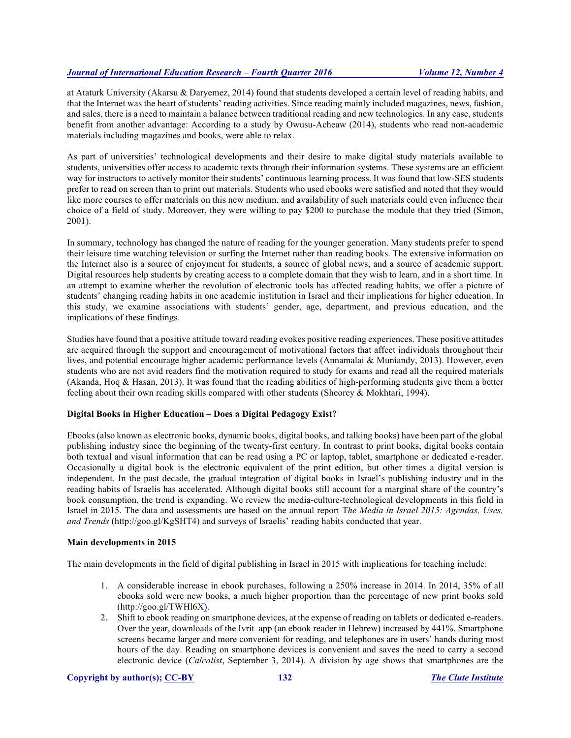at Ataturk University (Akarsu & Daryemez, 2014) found that students developed a certain level of reading habits, and that the Internet was the heart of students' reading activities. Since reading mainly included magazines, news, fashion, and sales, there is a need to maintain a balance between traditional reading and new technologies. In any case, students benefit from another advantage: According to a study by Owusu-Acheaw (2014), students who read non-academic materials including magazines and books, were able to relax.

As part of universities' technological developments and their desire to make digital study materials available to students, universities offer access to academic texts through their information systems. These systems are an efficient way for instructors to actively monitor their students' continuous learning process. It was found that low-SES students prefer to read on screen than to print out materials. Students who used ebooks were satisfied and noted that they would like more courses to offer materials on this new medium, and availability of such materials could even influence their choice of a field of study. Moreover, they were willing to pay \$200 to purchase the module that they tried (Simon, 2001).

In summary, technology has changed the nature of reading for the younger generation. Many students prefer to spend their leisure time watching television or surfing the Internet rather than reading books. The extensive information on the Internet also is a source of enjoyment for students, a source of global news, and a source of academic support. Digital resources help students by creating access to a complete domain that they wish to learn, and in a short time. In an attempt to examine whether the revolution of electronic tools has affected reading habits, we offer a picture of students' changing reading habits in one academic institution in Israel and their implications for higher education. In this study, we examine associations with students' gender, age, department, and previous education, and the implications of these findings.

Studies have found that a positive attitude toward reading evokes positive reading experiences. These positive attitudes are acquired through the support and encouragement of motivational factors that affect individuals throughout their lives, and potential encourage higher academic performance levels (Annamalai & Muniandy, 2013). However, even students who are not avid readers find the motivation required to study for exams and read all the required materials (Akanda, Hoq & Hasan, 2013). It was found that the reading abilities of high-performing students give them a better feeling about their own reading skills compared with other students (Sheorey & Mokhtari, 1994).

# **Digital Books in Higher Education – Does a Digital Pedagogy Exist?**

Ebooks (also known as electronic books, dynamic books, digital books, and talking books) have been part of the global publishing industry since the beginning of the twenty-first century. In contrast to print books, digital books contain both textual and visual information that can be read using a PC or laptop, tablet, smartphone or dedicated e-reader. Occasionally a digital book is the electronic equivalent of the print edition, but other times a digital version is independent. In the past decade, the gradual integration of digital books in Israel's publishing industry and in the reading habits of Israelis has accelerated. Although digital books still account for a marginal share of the country's book consumption, the trend is expanding. We review the media-culture-technological developments in this field in Israel in 2015. The data and assessments are based on the annual report T*he Media in Israel 2015: Agendas, Uses, and Trends* (http://goo.gl/KgSHT4) and surveys of Israelis' reading habits conducted that year.

# **Main developments in 2015**

The main developments in the field of digital publishing in Israel in 2015 with implications for teaching include:

- 1. A considerable increase in ebook purchases, following a 250% increase in 2014. In 2014, 35% of all ebooks sold were new books, a much higher proportion than the percentage of new print books sold (http://goo.gl/TWHl6X).
- 2. Shift to ebook reading on smartphone devices, at the expense of reading on tablets or dedicated e-readers. Over the year, downloads of the Ivrit app (an ebook reader in Hebrew) increased by 441%. Smartphone screens became larger and more convenient for reading, and telephones are in users' hands during most hours of the day. Reading on smartphone devices is convenient and saves the need to carry a second electronic device (*Calcalist*, September 3, 2014). A division by age shows that smartphones are the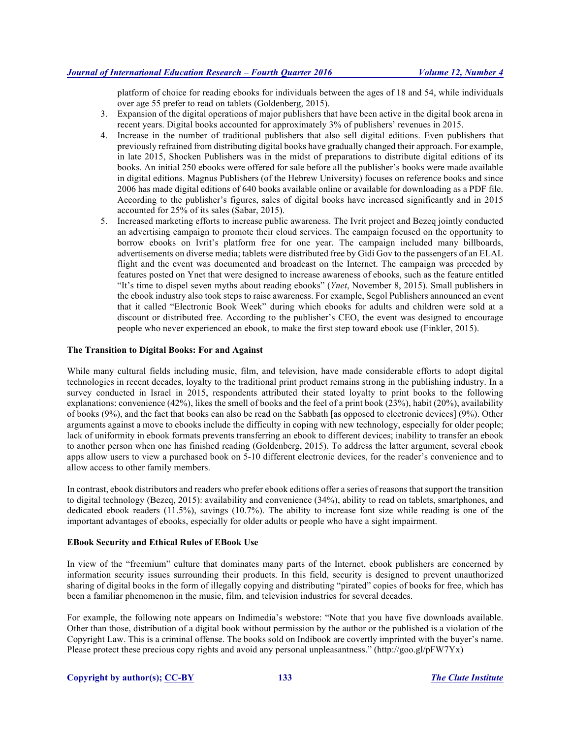platform of choice for reading ebooks for individuals between the ages of 18 and 54, while individuals over age 55 prefer to read on tablets (Goldenberg, 2015).

- 3. Expansion of the digital operations of major publishers that have been active in the digital book arena in recent years. Digital books accounted for approximately 3% of publishers' revenues in 2015.
- 4. Increase in the number of traditional publishers that also sell digital editions. Even publishers that previously refrained from distributing digital books have gradually changed their approach. For example, in late 2015, Shocken Publishers was in the midst of preparations to distribute digital editions of its books. An initial 250 ebooks were offered for sale before all the publisher's books were made available in digital editions. Magnus Publishers (of the Hebrew University) focuses on reference books and since 2006 has made digital editions of 640 books available online or available for downloading as a PDF file. According to the publisher's figures, sales of digital books have increased significantly and in 2015 accounted for 25% of its sales (Sabar, 2015).
- 5. Increased marketing efforts to increase public awareness. The Ivrit project and Bezeq jointly conducted an advertising campaign to promote their cloud services. The campaign focused on the opportunity to borrow ebooks on Ivrit's platform free for one year. The campaign included many billboards, advertisements on diverse media; tablets were distributed free by Gidi Gov to the passengers of an ELAL flight and the event was documented and broadcast on the Internet. The campaign was preceded by features posted on Ynet that were designed to increase awareness of ebooks, such as the feature entitled "It's time to dispel seven myths about reading ebooks" (*Ynet*, November 8, 2015). Small publishers in the ebook industry also took steps to raise awareness. For example, Segol Publishers announced an event that it called "Electronic Book Week" during which ebooks for adults and children were sold at a discount or distributed free. According to the publisher's CEO, the event was designed to encourage people who never experienced an ebook, to make the first step toward ebook use (Finkler, 2015).

#### **The Transition to Digital Books: For and Against**

While many cultural fields including music, film, and television, have made considerable efforts to adopt digital technologies in recent decades, loyalty to the traditional print product remains strong in the publishing industry. In a survey conducted in Israel in 2015, respondents attributed their stated loyalty to print books to the following explanations: convenience (42%), likes the smell of books and the feel of a print book (23%), habit (20%), availability of books (9%), and the fact that books can also be read on the Sabbath [as opposed to electronic devices] (9%). Other arguments against a move to ebooks include the difficulty in coping with new technology, especially for older people; lack of uniformity in ebook formats prevents transferring an ebook to different devices; inability to transfer an ebook to another person when one has finished reading (Goldenberg, 2015). To address the latter argument, several ebook apps allow users to view a purchased book on 5-10 different electronic devices, for the reader's convenience and to allow access to other family members.

In contrast, ebook distributors and readers who prefer ebook editions offer a series of reasons that support the transition to digital technology (Bezeq, 2015): availability and convenience (34%), ability to read on tablets, smartphones, and dedicated ebook readers (11.5%), savings (10.7%). The ability to increase font size while reading is one of the important advantages of ebooks, especially for older adults or people who have a sight impairment.

# **EBook Security and Ethical Rules of EBook Use**

In view of the "freemium" culture that dominates many parts of the Internet, ebook publishers are concerned by information security issues surrounding their products. In this field, security is designed to prevent unauthorized sharing of digital books in the form of illegally copying and distributing "pirated" copies of books for free, which has been a familiar phenomenon in the music, film, and television industries for several decades.

For example, the following note appears on Indimedia's webstore: "Note that you have five downloads available. Other than those, distribution of a digital book without permission by the author or the published is a violation of the Copyright Law. This is a criminal offense. The books sold on Indibook are covertly imprinted with the buyer's name. Please protect these precious copy rights and avoid any personal unpleasantness." (http://goo.gl/pFW7Yx)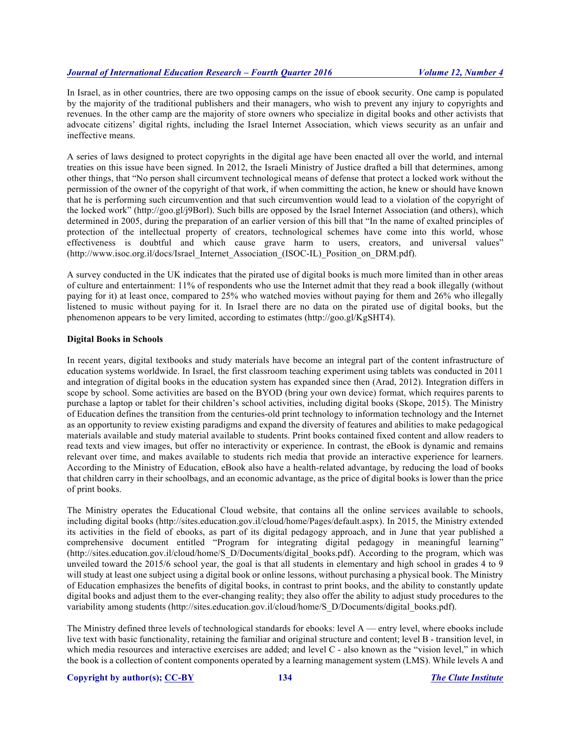In Israel, as in other countries, there are two opposing camps on the issue of ebook security. One camp is populated by the majority of the traditional publishers and their managers, who wish to prevent any injury to copyrights and revenues. In the other camp are the majority of store owners who specialize in digital books and other activists that advocate citizens' digital rights, including the Israel Internet Association, which views security as an unfair and ineffective means.

A series of laws designed to protect copyrights in the digital age have been enacted all over the world, and internal treaties on this issue have been signed. In 2012, the Israeli Ministry of Justice drafted a bill that determines, among other things, that "No person shall circumvent technological means of defense that protect a locked work without the permission of the owner of the copyright of that work, if when committing the action, he knew or should have known that he is performing such circumvention and that such circumvention would lead to a violation of the copyright of the locked work" (http://goo.gl/j9Borl). Such bills are opposed by the Israel Internet Association (and others), which determined in 2005, during the preparation of an earlier version of this bill that "In the name of exalted principles of protection of the intellectual property of creators, technological schemes have come into this world, whose effectiveness is doubtful and which cause grave harm to users, creators, and universal values" (http://www.isoc.org.il/docs/Israel\_Internet\_Association (ISOC-IL)\_Position\_on\_DRM.pdf).

A survey conducted in the UK indicates that the pirated use of digital books is much more limited than in other areas of culture and entertainment: 11% of respondents who use the Internet admit that they read a book illegally (without paying for it) at least once, compared to 25% who watched movies without paying for them and 26% who illegally listened to music without paying for it. In Israel there are no data on the pirated use of digital books, but the phenomenon appears to be very limited, according to estimates (http://goo.gl/KgSHT4).

#### **Digital Books in Schools**

In recent years, digital textbooks and study materials have become an integral part of the content infrastructure of education systems worldwide. In Israel, the first classroom teaching experiment using tablets was conducted in 2011 and integration of digital books in the education system has expanded since then (Arad, 2012). Integration differs in scope by school. Some activities are based on the BYOD (bring your own device) format, which requires parents to purchase a laptop or tablet for their children's school activities, including digital books (Skope, 2015). The Ministry of Education defines the transition from the centuries-old print technology to information technology and the Internet as an opportunity to review existing paradigms and expand the diversity of features and abilities to make pedagogical materials available and study material available to students. Print books contained fixed content and allow readers to read texts and view images, but offer no interactivity or experience. In contrast, the eBook is dynamic and remains relevant over time, and makes available to students rich media that provide an interactive experience for learners. According to the Ministry of Education, eBook also have a health-related advantage, by reducing the load of books that children carry in their schoolbags, and an economic advantage, as the price of digital books is lower than the price of print books.

The Ministry operates the Educational Cloud website, that contains all the online services available to schools, including digital books (http://sites.education.gov.il/cloud/home/Pages/default.aspx). In 2015, the Ministry extended its activities in the field of ebooks, as part of its digital pedagogy approach, and in June that year published a comprehensive document entitled "Program for integrating digital pedagogy in meaningful learning" (http://sites.education.gov.il/cloud/home/S\_D/Documents/digital\_books.pdf). According to the program, which was unveiled toward the 2015/6 school year, the goal is that all students in elementary and high school in grades 4 to 9 will study at least one subject using a digital book or online lessons, without purchasing a physical book. The Ministry of Education emphasizes the benefits of digital books, in contrast to print books, and the ability to constantly update digital books and adjust them to the ever-changing reality; they also offer the ability to adjust study procedures to the variability among students (http://sites.education.gov.il/cloud/home/S\_D/Documents/digital\_books.pdf).

The Ministry defined three levels of technological standards for ebooks: level A — entry level, where ebooks include live text with basic functionality, retaining the familiar and original structure and content; level B - transition level, in which media resources and interactive exercises are added; and level C - also known as the "vision level," in which the book is a collection of content components operated by a learning management system (LMS). While levels A and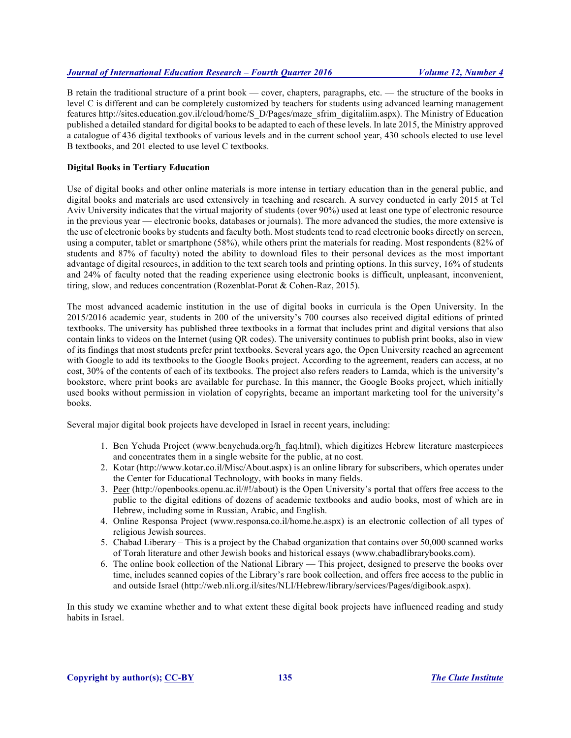B retain the traditional structure of a print book — cover, chapters, paragraphs, etc. — the structure of the books in level C is different and can be completely customized by teachers for students using advanced learning management features http://sites.education.gov.il/cloud/home/S\_D/Pages/maze\_sfrim\_digitaliim.aspx). The Ministry of Education published a detailed standard for digital books to be adapted to each of these levels. In late 2015, the Ministry approved a catalogue of 436 digital textbooks of various levels and in the current school year, 430 schools elected to use level B textbooks, and 201 elected to use level C textbooks.

# **Digital Books in Tertiary Education**

Use of digital books and other online materials is more intense in tertiary education than in the general public, and digital books and materials are used extensively in teaching and research. A survey conducted in early 2015 at Tel Aviv University indicates that the virtual majority of students (over 90%) used at least one type of electronic resource in the previous year — electronic books, databases or journals). The more advanced the studies, the more extensive is the use of electronic books by students and faculty both. Most students tend to read electronic books directly on screen, using a computer, tablet or smartphone (58%), while others print the materials for reading. Most respondents (82% of students and 87% of faculty) noted the ability to download files to their personal devices as the most important advantage of digital resources, in addition to the text search tools and printing options. In this survey, 16% of students and 24% of faculty noted that the reading experience using electronic books is difficult, unpleasant, inconvenient, tiring, slow, and reduces concentration (Rozenblat-Porat & Cohen-Raz, 2015).

The most advanced academic institution in the use of digital books in curricula is the Open University. In the 2015/2016 academic year, students in 200 of the university's 700 courses also received digital editions of printed textbooks. The university has published three textbooks in a format that includes print and digital versions that also contain links to videos on the Internet (using QR codes). The university continues to publish print books, also in view of its findings that most students prefer print textbooks. Several years ago, the Open University reached an agreement with Google to add its textbooks to the Google Books project. According to the agreement, readers can access, at no cost, 30% of the contents of each of its textbooks. The project also refers readers to Lamda, which is the university's bookstore, where print books are available for purchase. In this manner, the Google Books project, which initially used books without permission in violation of copyrights, became an important marketing tool for the university's books.

Several major digital book projects have developed in Israel in recent years, including:

- 1. Ben Yehuda Project (www.benyehuda.org/h\_faq.html), which digitizes Hebrew literature masterpieces and concentrates them in a single website for the public, at no cost.
- 2. Kotar (http://www.kotar.co.il/Misc/About.aspx) is an online library for subscribers, which operates under the Center for Educational Technology, with books in many fields.
- 3. Peer (http://openbooks.openu.ac.il/#!/about) is the Open University's portal that offers free access to the public to the digital editions of dozens of academic textbooks and audio books, most of which are in Hebrew, including some in Russian, Arabic, and English.
- 4. Online Responsa Project (www.responsa.co.il/home.he.aspx) is an electronic collection of all types of religious Jewish sources.
- 5. Chabad Liberary This is a project by the Chabad organization that contains over 50,000 scanned works of Torah literature and other Jewish books and historical essays (www.chabadlibrarybooks.com).
- 6. The online book collection of the National Library This project, designed to preserve the books over time, includes scanned copies of the Library's rare book collection, and offers free access to the public in and outside Israel (http://web.nli.org.il/sites/NLI/Hebrew/library/services/Pages/digibook.aspx).

In this study we examine whether and to what extent these digital book projects have influenced reading and study habits in Israel.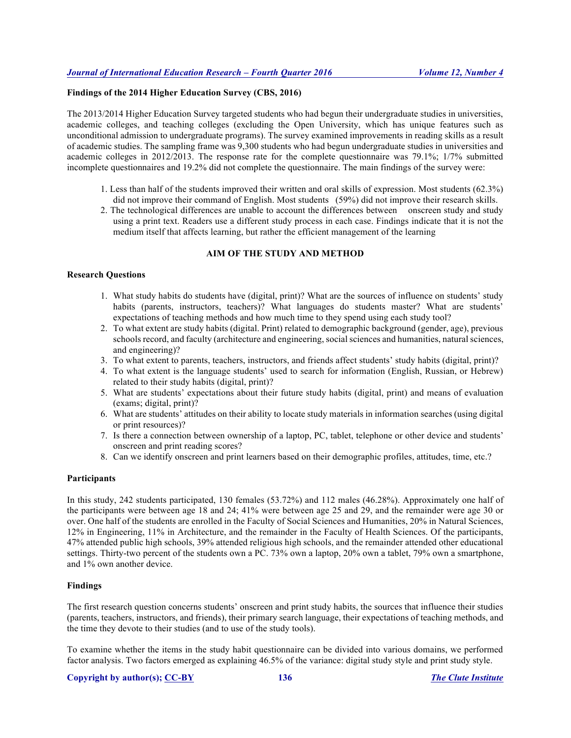# **Findings of the 2014 Higher Education Survey (CBS, 2016)**

The 2013/2014 Higher Education Survey targeted students who had begun their undergraduate studies in universities, academic colleges, and teaching colleges (excluding the Open University, which has unique features such as unconditional admission to undergraduate programs). The survey examined improvements in reading skills as a result of academic studies. The sampling frame was 9,300 students who had begun undergraduate studies in universities and academic colleges in 2012/2013. The response rate for the complete questionnaire was 79.1%; 1/7% submitted incomplete questionnaires and 19.2% did not complete the questionnaire. The main findings of the survey were:

- 1. Less than half of the students improved their written and oral skills of expression. Most students (62.3%) did not improve their command of English. Most students (59%) did not improve their research skills.
- 2. The technological differences are unable to account the differences between onscreen study and study using a print text. Readers use a different study process in each case. Findings indicate that it is not the medium itself that affects learning, but rather the efficient management of the learning

# **AIM OF THE STUDY AND METHOD**

#### **Research Questions**

- 1. What study habits do students have (digital, print)? What are the sources of influence on students' study habits (parents, instructors, teachers)? What languages do students master? What are students' expectations of teaching methods and how much time to they spend using each study tool?
- 2. To what extent are study habits (digital. Print) related to demographic background (gender, age), previous schools record, and faculty (architecture and engineering, social sciences and humanities, natural sciences, and engineering)?
- 3. To what extent to parents, teachers, instructors, and friends affect students' study habits (digital, print)?
- 4. To what extent is the language students' used to search for information (English, Russian, or Hebrew) related to their study habits (digital, print)?
- 5. What are students' expectations about their future study habits (digital, print) and means of evaluation (exams; digital, print)?
- 6. What are students' attitudes on their ability to locate study materials in information searches (using digital or print resources)?
- 7. Is there a connection between ownership of a laptop, PC, tablet, telephone or other device and students' onscreen and print reading scores?
- 8. Can we identify onscreen and print learners based on their demographic profiles, attitudes, time, etc.?

# **Participants**

In this study, 242 students participated, 130 females (53.72%) and 112 males (46.28%). Approximately one half of the participants were between age 18 and 24; 41% were between age 25 and 29, and the remainder were age 30 or over. One half of the students are enrolled in the Faculty of Social Sciences and Humanities, 20% in Natural Sciences, 12% in Engineering, 11% in Architecture, and the remainder in the Faculty of Health Sciences. Of the participants, 47% attended public high schools, 39% attended religious high schools, and the remainder attended other educational settings. Thirty-two percent of the students own a PC. 73% own a laptop, 20% own a tablet, 79% own a smartphone, and 1% own another device.

# **Findings**

The first research question concerns students' onscreen and print study habits, the sources that influence their studies (parents, teachers, instructors, and friends), their primary search language, their expectations of teaching methods, and the time they devote to their studies (and to use of the study tools).

To examine whether the items in the study habit questionnaire can be divided into various domains, we performed factor analysis. Two factors emerged as explaining 46.5% of the variance: digital study style and print study style.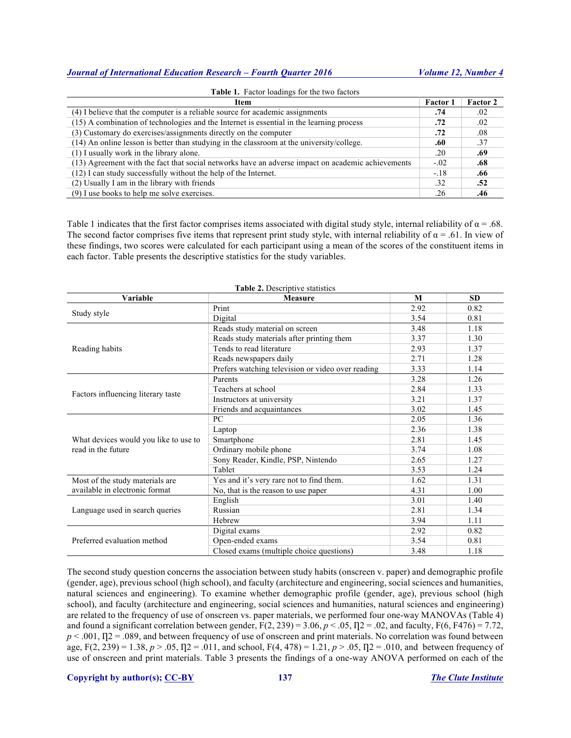| Item                                                                                              | <b>Factor</b> 1 | <b>Factor 2</b> |
|---------------------------------------------------------------------------------------------------|-----------------|-----------------|
| (4) I believe that the computer is a reliable source for academic assignments                     | .74             | .02             |
| (15) A combination of technologies and the Internet is essential in the learning process          | .72             | .02             |
| (3) Customary do exercises/assignments directly on the computer                                   | .72             | .08             |
| (14) An online lesson is better than studying in the classroom at the university/college.         | .60             | .37             |
| (1) I usually work in the library alone.                                                          | .20             | .69             |
| (13) Agreement with the fact that social networks have an adverse impact on academic achievements | $-02$           | .68             |
| (12) I can study successfully without the help of the Internet.                                   | $-.18$          | .66             |
| (2) Usually I am in the library with friends                                                      | .32             | .52             |
| (9) I use books to help me solve exercises.                                                       | .26             | .46             |

Table 1 indicates that the first factor comprises items associated with digital study style, internal reliability of  $\alpha = .68$ . The second factor comprises five items that represent print study style, with internal reliability of  $\alpha = .61$ . In view of these findings, two scores were calculated for each participant using a mean of the scores of the constituent items in each factor. Table presents the descriptive statistics for the study variables.

| Variable                              | <b>Measure</b>                                    | M    | <b>SD</b> |
|---------------------------------------|---------------------------------------------------|------|-----------|
|                                       | Print                                             | 2.92 | 0.82      |
| Study style                           | Digital                                           | 3.54 | 0.81      |
|                                       | Reads study material on screen                    | 3.48 | 1.18      |
| Reading habits                        | Reads study materials after printing them         | 3.37 | 1.30      |
|                                       | Tends to read literature                          | 2.93 | 1.37      |
|                                       | Reads newspapers daily                            | 2.71 | 1.28      |
|                                       | Prefers watching television or video over reading | 3.33 | 1.14      |
|                                       | Parents                                           | 3.28 | 1.26      |
| Factors influencing literary taste    | Teachers at school                                | 2.84 | 1.33      |
|                                       | Instructors at university                         | 3.21 | 1.37      |
|                                       | Friends and acquaintances                         | 3.02 | 1.45      |
|                                       | PC                                                | 2.05 | 1.36      |
|                                       | Laptop                                            | 2.36 | 1.38      |
| What devices would you like to use to | Smartphone                                        | 2.81 | 1.45      |
| read in the future                    | Ordinary mobile phone                             | 3.74 | 1.08      |
|                                       | Sony Reader, Kindle, PSP, Nintendo                | 2.65 | 1.27      |
|                                       | Tablet                                            | 3.53 | 1.24      |
| Most of the study materials are       | Yes and it's very rare not to find them.          | 1.62 | 1.31      |
| available in electronic format        | No, that is the reason to use paper               | 4.31 | 1.00      |
|                                       | English                                           | 3.01 | 1.40      |
| Language used in search queries       | Russian                                           | 2.81 | 1.34      |
|                                       | Hebrew                                            | 3.94 | 1.11      |
|                                       | Digital exams                                     | 2.92 | 0.82      |
| Preferred evaluation method           | Open-ended exams                                  | 3.54 | 0.81      |
|                                       | Closed exams (multiple choice questions)          | 3.48 | 1.18      |

**Table 2.** Descriptive statistics

The second study question concerns the association between study habits (onscreen v. paper) and demographic profile (gender, age), previous school (high school), and faculty (architecture and engineering, social sciences and humanities, natural sciences and engineering). To examine whether demographic profile (gender, age), previous school (high school), and faculty (architecture and engineering, social sciences and humanities, natural sciences and engineering) are related to the frequency of use of onscreen vs. paper materials, we performed four one-way MANOVAs (Table 4) and found a significant correlation between gender,  $F(2, 239) = 3.06$ ,  $p < .05$ ,  $\eta$ 2 = .02, and faculty,  $F(6, F476) = 7.72$ ,  $p < .001$ ,  $\eta$ <sub>2</sub> = .089, and between frequency of use of onscreen and print materials. No correlation was found between age,  $F(2, 239) = 1.38$ ,  $p > .05$ ,  $\eta = 0.011$ , and school,  $F(4, 478) = 1.21$ ,  $p > .05$ ,  $\eta = 0.010$ , and between frequency of use of onscreen and print materials. Table 3 presents the findings of a one-way ANOVA performed on each of the

**Copyright by author(s); CC-BY 137** *The Clute Institute*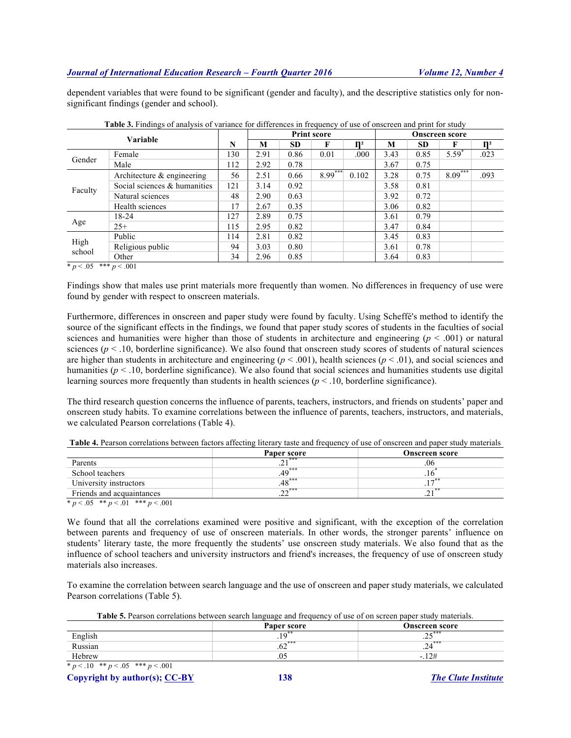dependent variables that were found to be significant (gender and faculty), and the descriptive statistics only for nonsignificant findings (gender and school).

| Variable       |                              |     | <b>Print score</b> |           |           |                | <b>Onscreen score</b> |           |            |                |
|----------------|------------------------------|-----|--------------------|-----------|-----------|----------------|-----------------------|-----------|------------|----------------|
|                |                              |     |                    | <b>SD</b> | F         | $\mathbf{n}^2$ | M                     | <b>SD</b> | F          | $\mathbf{n}^2$ |
| Gender         | Female                       | 130 | 2.91               | 0.86      | 0.01      | .000           | 3.43                  | 0.85      | $5.59^{*}$ | .023           |
|                | Male                         | 112 | 2.92               | 0.78      |           |                | 3.67                  | 0.75      |            |                |
|                | Architecture & engineering   | 56  | 2.51               | 0.66      | $8.99***$ | 0.102          | 3.28                  | 0.75      | $8.09***$  | .093           |
| Faculty        | Social sciences & humanities | 121 | 3.14               | 0.92      |           |                | 3.58                  | 0.81      |            |                |
|                | Natural sciences             | 48  | 2.90               | 0.63      |           |                | 3.92                  | 0.72      |            |                |
|                | Health sciences              | 17  | 2.67               | 0.35      |           |                | 3.06                  | 0.82      |            |                |
|                | 18-24                        | 127 | 2.89               | 0.75      |           |                | 3.61                  | 0.79      |            |                |
| Age            | $25+$                        | 115 | 2.95               | 0.82      |           |                | 3.47                  | 0.84      |            |                |
|                | Public                       | 114 | 2.81               | 0.82      |           |                | 3.45                  | 0.83      |            |                |
| High<br>school | Religious public             | 94  | 3.03               | 0.80      |           |                | 3.61                  | 0.78      |            |                |
|                | Other                        | 34  | 2.96               | 0.85      |           |                | 3.64                  | 0.83      |            |                |

**Table 3.** Findings of analysis of variance for differences in frequency of use of onscreen and print for study

 $\overline{\ast p}$  < .05  $\overline{\ast\ast p}$  < .001

Findings show that males use print materials more frequently than women. No differences in frequency of use were found by gender with respect to onscreen materials.

Furthermore, differences in onscreen and paper study were found by faculty. Using Scheffé's method to identify the source of the significant effects in the findings, we found that paper study scores of students in the faculties of social sciences and humanities were higher than those of students in architecture and engineering  $(p < .001)$  or natural sciences ( $p < 0.10$ , borderline significance). We also found that onscreen study scores of students of natural sciences are higher than students in architecture and engineering  $(p < .001)$ , health sciences  $(p < .01)$ , and social sciences and humanities ( $p < 0.10$ , borderline significance). We also found that social sciences and humanities students use digital learning sources more frequently than students in health sciences ( $p < 0.10$ , borderline significance).

The third research question concerns the influence of parents, teachers, instructors, and friends on students' paper and onscreen study habits. To examine correlations between the influence of parents, teachers, instructors, and materials, we calculated Pearson correlations (Table 4).

|                           | Paper score                                         | <b>Onscreen score</b> |
|---------------------------|-----------------------------------------------------|-----------------------|
| Parents                   | $\mathbf{A}$ $\mathbf{A}$ $\mathbf{A}$ $\mathbf{B}$ | .06                   |
| School teachers           | $.49***$                                            |                       |
| University instructors    | $.48***$                                            |                       |
| Friends and acquaintances | $\Omega^{\ast\ast\ast}$                             | ا ک                   |

**Table 4.** Pearson correlations between factors affecting literary taste and frequency of use of onscreen and paper study materials

 $* p < .05$  \*\*  $p < .01$  \*\*\*  $p < .001$ 

We found that all the correlations examined were positive and significant, with the exception of the correlation between parents and frequency of use of onscreen materials. In other words, the stronger parents' influence on students' literary taste, the more frequently the students' use onscreen study materials. We also found that as the influence of school teachers and university instructors and friend's increases, the frequency of use of onscreen study materials also increases.

To examine the correlation between search language and the use of onscreen and paper study materials, we calculated Pearson correlations (Table 5).

**Table 5.** Pearson correlations between search language and frequency of use of on screen paper study materials.

|         | Paper score                  | <b>Onscreen score</b> |
|---------|------------------------------|-----------------------|
| English |                              | $-$ ***<br>ت سه .     |
| Russian | $\epsilon$ $\sim$ ***<br>.02 | $2.1$ ***<br>.44      |
| Hebrew  | .U                           | .12#<br>-             |
|         |                              |                       |

 $* p < .10$   $* p < .05$   $* * p < .001$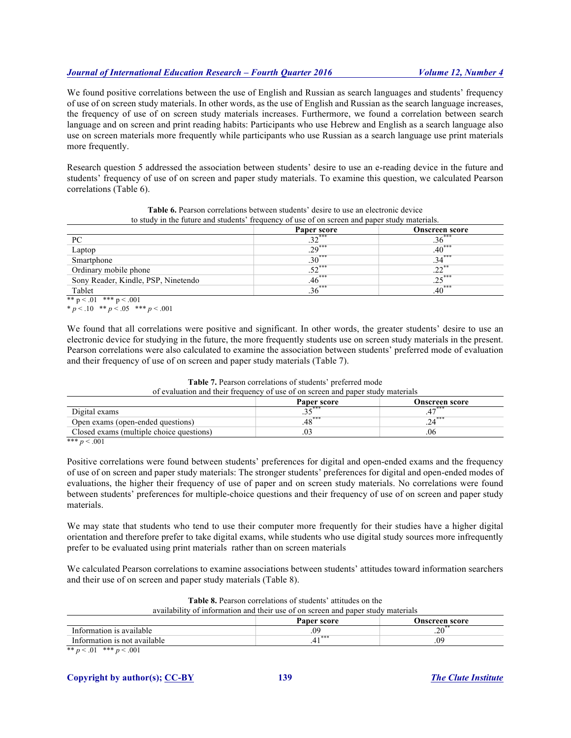We found positive correlations between the use of English and Russian as search languages and students' frequency of use of on screen study materials. In other words, as the use of English and Russian as the search language increases, the frequency of use of on screen study materials increases. Furthermore, we found a correlation between search language and on screen and print reading habits: Participants who use Hebrew and English as a search language also use on screen materials more frequently while participants who use Russian as a search language use print materials more frequently.

Research question 5 addressed the association between students' desire to use an e-reading device in the future and students' frequency of use of on screen and paper study materials. To examine this question, we calculated Pearson correlations (Table 6).

|                                     | Paper score | <b>Onscreen score</b> |
|-------------------------------------|-------------|-----------------------|
| PC                                  | $.32***$    | $.36***$              |
| Laptop                              | $.29***$    | $.40***$              |
| Smartphone                          | $.30***$    | $.34***$              |
| Ordinary mobile phone               | $.52***$    | $.22***$              |
| Sony Reader, Kindle, PSP, Ninetendo | .46         | $.25***$              |
| Tablet                              | $.36***$    | $.40***$              |

**Table 6.** Pearson correlations between students' desire to use an electronic device to study in the future and students' frequency of use of on screen and paper study materials.

\*\*  $p < .01$  \*\*\*  $p < .001$ 

\* *p* < .10 \*\* *p* < .05 \*\*\* *p* < .001

We found that all correlations were positive and significant. In other words, the greater students' desire to use an electronic device for studying in the future, the more frequently students use on screen study materials in the present. Pearson correlations were also calculated to examine the association between students' preferred mode of evaluation and their frequency of use of on screen and paper study materials (Table 7).

#### **Table 7.** Pearson correlations of students' preferred mode of evaluation and their frequency of use of on screen and paper study materials

|                                          | Paper score | Onscreen score |
|------------------------------------------|-------------|----------------|
| Digital exams                            | $\sim$ ***  |                |
| Open exams (open-ended questions)        | $.48***$    |                |
| Closed exams (multiple choice questions) |             | .06            |

\*\*\*  $p < .001$ 

Positive correlations were found between students' preferences for digital and open-ended exams and the frequency of use of on screen and paper study materials: The stronger students' preferences for digital and open-ended modes of evaluations, the higher their frequency of use of paper and on screen study materials. No correlations were found between students' preferences for multiple-choice questions and their frequency of use of on screen and paper study materials.

We may state that students who tend to use their computer more frequently for their studies have a higher digital orientation and therefore prefer to take digital exams, while students who use digital study sources more infrequently prefer to be evaluated using print materials rather than on screen materials

We calculated Pearson correlations to examine associations between students' attitudes toward information searchers and their use of on screen and paper study materials (Table 8).

| availability of information and their use of on screen and paper study materials                               |          |    |  |  |  |  |  |
|----------------------------------------------------------------------------------------------------------------|----------|----|--|--|--|--|--|
| Paper score<br>Onscreen score                                                                                  |          |    |  |  |  |  |  |
| Information is available                                                                                       | .09      |    |  |  |  |  |  |
| Information is not available                                                                                   | ***<br>4 | 09 |  |  |  |  |  |
| about the contract contract of the contract of the contract of the contract of the contract of the contract of |          |    |  |  |  |  |  |

**Table 8.** Pearson correlations of students' attitudes on the

\*\*  $p < .01$  \*\*\*  $p < .001$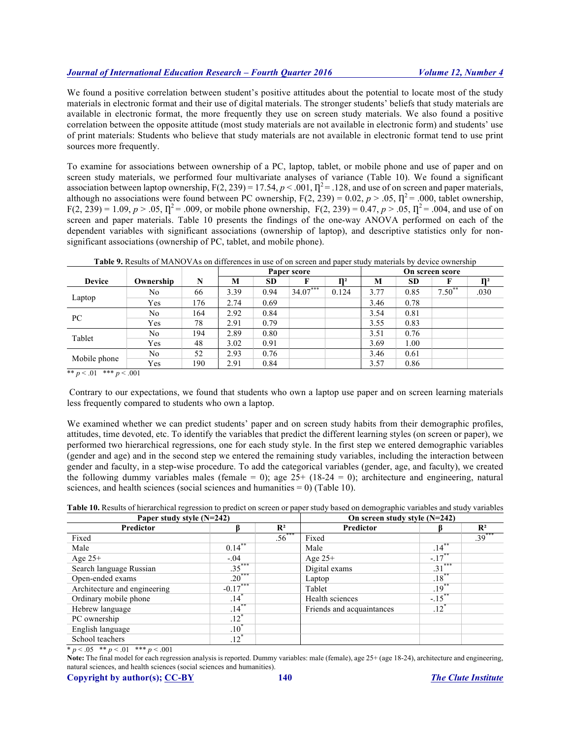We found a positive correlation between student's positive attitudes about the potential to locate most of the study materials in electronic format and their use of digital materials. The stronger students' beliefs that study materials are available in electronic format, the more frequently they use on screen study materials. We also found a positive correlation between the opposite attitude (most study materials are not available in electronic form) and students' use of print materials: Students who believe that study materials are not available in electronic format tend to use print sources more frequently.

To examine for associations between ownership of a PC, laptop, tablet, or mobile phone and use of paper and on screen study materials, we performed four multivariate analyses of variance (Table 10). We found a significant association between laptop ownership,  $F(2, 239) = 17.54$ ,  $p < .001$ ,  $\eta^2 = .128$ , and use of on screen and paper materials, although no associations were found between PC ownership,  $F(2, 239) = 0.02$ ,  $p > .05$ ,  $\Gamma^2 = .000$ , tablet ownership,  $F(2, 239) = 1.09, p > .05, \Pi^2 = .009$ , or mobile phone ownership,  $F(2, 239) = 0.47, p > .05, \Pi^2 = .004$ , and use of on screen and paper materials. Table 10 presents the findings of the one-way ANOVA performed on each of the dependent variables with significant associations (ownership of laptop), and descriptive statistics only for nonsignificant associations (ownership of PC, tablet, and mobile phone).

|  | <b>Table 9.</b> Results of MANOVAs on differences in use of on screen and paper study materials by device ownership |
|--|---------------------------------------------------------------------------------------------------------------------|
|  |                                                                                                                     |

|               |           |     |      | Paper score |            |                |      |           | On screen score |      |
|---------------|-----------|-----|------|-------------|------------|----------------|------|-----------|-----------------|------|
| <b>Device</b> | Ownership | N   | М    | <b>SD</b>   |            | n <sub>2</sub> | М    | <b>SD</b> |                 |      |
|               | No        | 66  | 3.39 | 0.94        | $34.07***$ | 0.124          | 3.77 | 0.85      | $7.50^{**}$     | .030 |
| Laptop        | Yes       | 176 | 2.74 | 0.69        |            |                | 3.46 | 0.78      |                 |      |
|               | No        | 164 | 2.92 | 0.84        |            |                | 3.54 | 0.81      |                 |      |
| PC            | Yes       | 78  | 2.91 | 0.79        |            |                | 3.55 | 0.83      |                 |      |
| Tablet        | No        | 194 | 2.89 | 0.80        |            |                | 3.51 | 0.76      |                 |      |
|               | Yes       | 48  | 3.02 | 0.91        |            |                | 3.69 | 1.00      |                 |      |
|               | No        | 52  | 2.93 | 0.76        |            |                | 3.46 | 0.61      |                 |      |
| Mobile phone  | Yes       | 190 | 2.91 | 0.84        |            |                | 3.57 | 0.86      |                 |      |

\*\*  $p < 0.01$  \*\*\*  $p < 0.001$ 

Contrary to our expectations, we found that students who own a laptop use paper and on screen learning materials less frequently compared to students who own a laptop.

We examined whether we can predict students' paper and on screen study habits from their demographic profiles, attitudes, time devoted, etc. To identify the variables that predict the different learning styles (on screen or paper), we performed two hierarchical regressions, one for each study style. In the first step we entered demographic variables (gender and age) and in the second step we entered the remaining study variables, including the interaction between gender and faculty, in a step-wise procedure. To add the categorical variables (gender, age, and faculty), we created the following dummy variables males (female = 0); age  $25+ (18-24 = 0)$ ; architecture and engineering, natural sciences, and health sciences (social sciences and humanities  $= 0$ ) (Table 10).

| <b>Table 10.</b> Results of hierarchical regression to predict on screen or paper study based on demographic variables and study variables |  |  |  |
|--------------------------------------------------------------------------------------------------------------------------------------------|--|--|--|
|                                                                                                                                            |  |  |  |

| Paper study style $(N=242)$  |                       | On screen study style $(N=242)$ |                           |                       |                |
|------------------------------|-----------------------|---------------------------------|---------------------------|-----------------------|----------------|
| Predictor                    |                       | $\mathbf{R}^2$                  | Predictor                 |                       | $\mathbf{R}^2$ |
| Fixed                        |                       | $.56***$                        | Fixed                     |                       | $.39***$       |
| Male                         | $0.14***$             |                                 | Male                      | $\overline{.14}^{**}$ |                |
| Age $25+$                    | $-.04$                |                                 | Age $25+$                 | $-17^{**}$            |                |
| Search language Russian      | $.35***$              |                                 | Digital exams             | $.31***$              |                |
| Open-ended exams             | $.20***$              |                                 | Laptop                    | $.18***$              |                |
| Architecture and engineering | $-0.17***$            |                                 | Tablet                    | $.19***$              |                |
| Ordinary mobile phone        | $.14$ <sup>*</sup>    |                                 | Health sciences           | $-.15***$             |                |
| Hebrew language              | $\overline{.14}^{**}$ |                                 | Friends and acquaintances | $.12^{*}$             |                |
| PC ownership                 | $.12^*$               |                                 |                           |                       |                |
| English language             | $.10^{\degree}$       |                                 |                           |                       |                |
| School teachers              | $.12*$                |                                 |                           |                       |                |

 $\frac{p}{p}$  < .05  $\frac{p}{p}$  < .01  $\frac{p}{p}$  < .001

Note: The final model for each regression analysis is reported. Dummy variables: male (female), age 25+ (age 18-24), architecture and engineering, natural sciences, and health sciences (social sciences and humanities).

**Copyright by author(s); CC-BY 140** *The Clute Institute*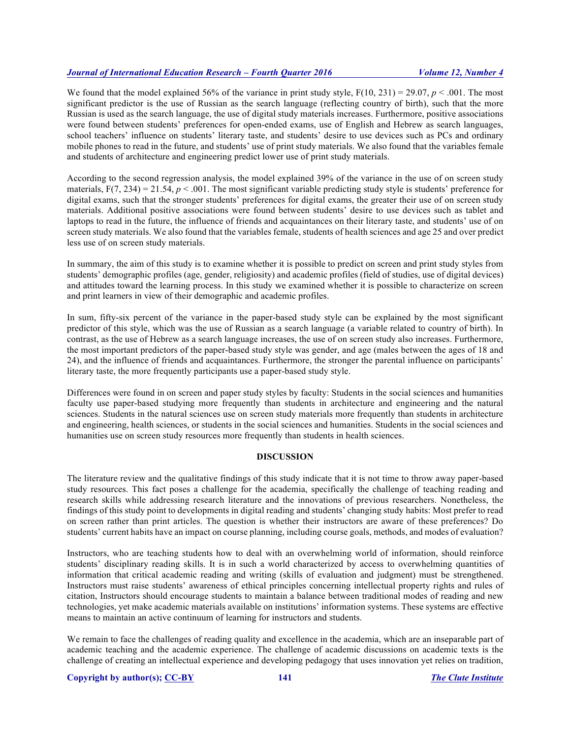We found that the model explained 56% of the variance in print study style,  $F(10, 231) = 29.07$ ,  $p < .001$ . The most significant predictor is the use of Russian as the search language (reflecting country of birth), such that the more Russian is used as the search language, the use of digital study materials increases. Furthermore, positive associations were found between students' preferences for open-ended exams, use of English and Hebrew as search languages, school teachers' influence on students' literary taste, and students' desire to use devices such as PCs and ordinary mobile phones to read in the future, and students' use of print study materials. We also found that the variables female and students of architecture and engineering predict lower use of print study materials.

According to the second regression analysis, the model explained 39% of the variance in the use of on screen study materials,  $F(7, 234) = 21.54$ ,  $p < .001$ . The most significant variable predicting study style is students' preference for digital exams, such that the stronger students' preferences for digital exams, the greater their use of on screen study materials. Additional positive associations were found between students' desire to use devices such as tablet and laptops to read in the future, the influence of friends and acquaintances on their literary taste, and students' use of on screen study materials. We also found that the variables female, students of health sciences and age 25 and over predict less use of on screen study materials.

In summary, the aim of this study is to examine whether it is possible to predict on screen and print study styles from students' demographic profiles (age, gender, religiosity) and academic profiles (field of studies, use of digital devices) and attitudes toward the learning process. In this study we examined whether it is possible to characterize on screen and print learners in view of their demographic and academic profiles.

In sum, fifty-six percent of the variance in the paper-based study style can be explained by the most significant predictor of this style, which was the use of Russian as a search language (a variable related to country of birth). In contrast, as the use of Hebrew as a search language increases, the use of on screen study also increases. Furthermore, the most important predictors of the paper-based study style was gender, and age (males between the ages of 18 and 24), and the influence of friends and acquaintances. Furthermore, the stronger the parental influence on participants' literary taste, the more frequently participants use a paper-based study style.

Differences were found in on screen and paper study styles by faculty: Students in the social sciences and humanities faculty use paper-based studying more frequently than students in architecture and engineering and the natural sciences. Students in the natural sciences use on screen study materials more frequently than students in architecture and engineering, health sciences, or students in the social sciences and humanities. Students in the social sciences and humanities use on screen study resources more frequently than students in health sciences.

# **DISCUSSION**

The literature review and the qualitative findings of this study indicate that it is not time to throw away paper-based study resources. This fact poses a challenge for the academia, specifically the challenge of teaching reading and research skills while addressing research literature and the innovations of previous researchers. Nonetheless, the findings of this study point to developments in digital reading and students' changing study habits: Most prefer to read on screen rather than print articles. The question is whether their instructors are aware of these preferences? Do students' current habits have an impact on course planning, including course goals, methods, and modes of evaluation?

Instructors, who are teaching students how to deal with an overwhelming world of information, should reinforce students' disciplinary reading skills. It is in such a world characterized by access to overwhelming quantities of information that critical academic reading and writing (skills of evaluation and judgment) must be strengthened. Instructors must raise students' awareness of ethical principles concerning intellectual property rights and rules of citation, Instructors should encourage students to maintain a balance between traditional modes of reading and new technologies, yet make academic materials available on institutions' information systems. These systems are effective means to maintain an active continuum of learning for instructors and students.

We remain to face the challenges of reading quality and excellence in the academia, which are an inseparable part of academic teaching and the academic experience. The challenge of academic discussions on academic texts is the challenge of creating an intellectual experience and developing pedagogy that uses innovation yet relies on tradition,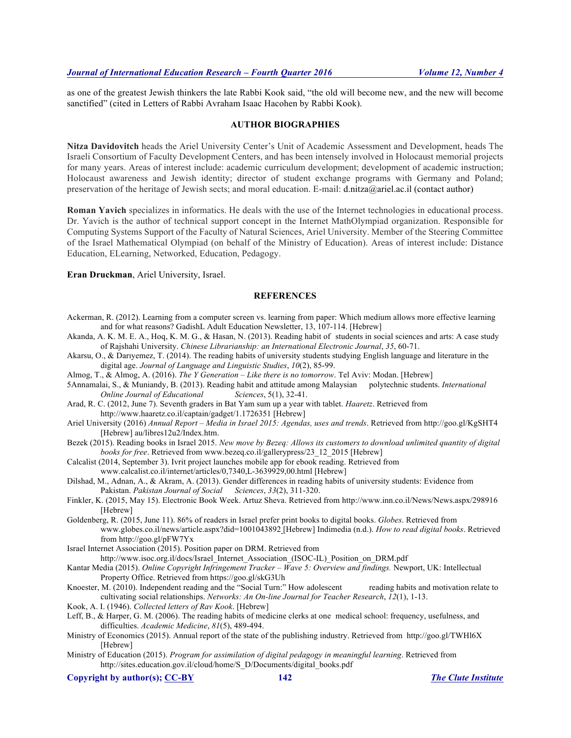as one of the greatest Jewish thinkers the late Rabbi Kook said, "the old will become new, and the new will become sanctified" (cited in Letters of Rabbi Avraham Isaac Hacohen by Rabbi Kook).

#### **AUTHOR BIOGRAPHIES**

**Nitza Davidovitch** heads the Ariel University Center's Unit of Academic Assessment and Development, heads The Israeli Consortium of Faculty Development Centers, and has been intensely involved in Holocaust memorial projects for many years. Areas of interest include: academic curriculum development; development of academic instruction; Holocaust awareness and Jewish identity; director of student exchange programs with Germany and Poland; preservation of the heritage of Jewish sects; and moral education. E-mail: d.nitza@ariel.ac.il (contact author)

**Roman Yavich** specializes in informatics. He deals with the use of the Internet technologies in educational process. Dr. Yavich is the author of technical support concept in the Internet MathOlympiad organization. Responsible for Computing Systems Support of the Faculty of Natural Sciences, Ariel University. Member of the Steering Committee of the Israel Mathematical Olympiad (on behalf of the Ministry of Education). Areas of interest include: Distance Education, ELearning, Networked, Education, Pedagogy.

#### **Eran Druckman**, Ariel University, Israel.

#### **REFERENCES**

- Ackerman, R. (2012). Learning from a computer screen vs. learning from paper: Which medium allows more effective learning and for what reasons? GadishL Adult Education Newsletter, 13, 107-114. [Hebrew]
- Akanda, A. K. M. E. A., Hoq, K. M. G., & Hasan, N. (2013). Reading habit of students in social sciences and arts: A case study of Rajshahi University. *Chinese Librarianship: an International Electronic Journal*, *35*, 60-71.
- Akarsu, O., & Darıyemez, T. (2014). The reading habits of university students studying English language and literature in the digital age. *Journal of Language and Linguistic Studies*, *10*(2), 85-99.
- Almog, T., & Almog, A. (2016). *The Y Generation – Like there is no tomorrow*. Tel Aviv: Modan. [Hebrew]
- 5Annamalai, S., & Muniandy, B. (2013). Reading habit and attitude among Malaysian polytechnic students. *International Online Journal of Educational Sciences*, 5(1), 32-41.
- Arad, R. C. (2012, June 7). Seventh graders in Bat Yam sum up a year with tablet. *Haaretz*. Retrieved from http://www.haaretz.co.il/captain/gadget/1.1726351 [Hebrew]
- Ariel University (2016) *Annual Report – Media in Israel 2015: Agendas, uses and trends*. Retrieved from http://goo.gl/KgSHT4 [Hebrew] au/libres12u2/Index.htm.
- Bezek (2015). Reading books in Israel 2015. *New move by Bezeq: Allows its customers to download unlimited quantity of digital books for free*. Retrieved from www.bezeq.co.il/gallerypress/23\_12\_2015 [Hebrew]
- Calcalist (2014, September 3). Ivrit project launches mobile app for ebook reading. Retrieved from www.calcalist.co.il/internet/articles/0,7340,L-3639929,00.html [Hebrew]
- Dilshad, M., Adnan, A., & Akram, A. (2013). Gender differences in reading habits of university students: Evidence from Pakistan. *Pakistan Journal of Social Sciences*, *33*(2), 311-320.
- Finkler, K. (2015, May 15). Electronic Book Week. Artuz Sheva. Retrieved from http://www.inn.co.il/News/News.aspx/298916 [Hebrew]
- Goldenberg, R. (2015, June 11). 86% of readers in Israel prefer print books to digital books. *Globes*. Retrieved from www.globes.co.il/news/article.aspx?did=1001043892 [Hebrew] Indimedia (n.d.). *How to read digital books*. Retrieved from http://goo.gl/pFW7Yx
- Israel Internet Association (2015). Position paper on DRM. Retrieved from http://www.isoc.org.il/docs/Israel\_Internet\_Association (ISOC-IL)\_Position\_on\_DRM.pdf
- Kantar Media (2015). *Online Copyright Infringement Tracker – Wave 5: Overview and findings.* Newport, UK: Intellectual Property Office. Retrieved from https://goo.gl/skG3Uh
- Knoester, M. (2010). Independent reading and the "Social Turn:" How adolescent reading habits and motivation relate to cultivating social relationships. *Networks: An On-line Journal for Teacher Research*, *12*(1), 1-13.
- Kook, A. I. (1946). *Collected letters of Rav Kook*. [Hebrew]
- Leff, B., & Harper, G. M. (2006). The reading habits of medicine clerks at one medical school: frequency, usefulness, and difficulties. *Academic Medicine*, *81*(5), 489-494.
- Ministry of Economics (2015). Annual report of the state of the publishing industry. Retrieved from http://goo.gl/TWHl6X [Hebrew]
- Ministry of Education (2015). *Program for assimilation of digital pedagogy in meaningful learning*. Retrieved from http://sites.education.gov.il/cloud/home/S\_D/Documents/digital\_books.pdf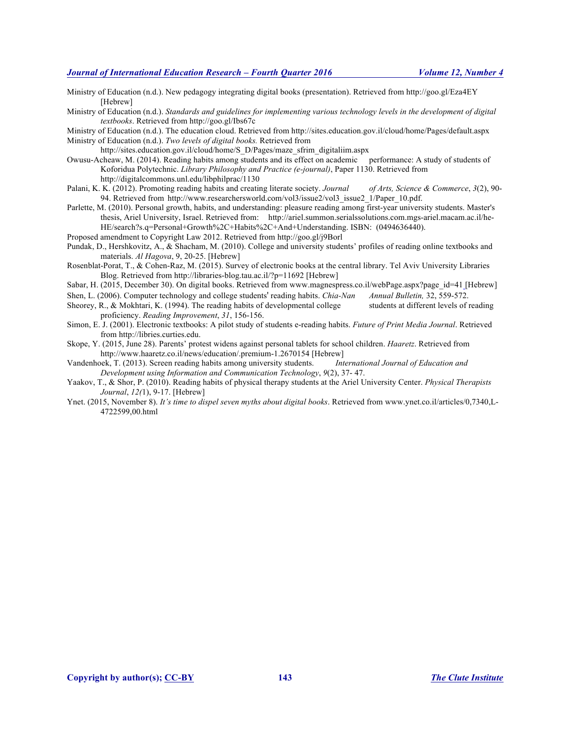Ministry of Education (n.d.). New pedagogy integrating digital books (presentation). Retrieved from http://goo.gl/Eza4EY [Hebrew]

Ministry of Education (n.d.). *Standards and guidelines for implementing various technology levels in the development of digital textbooks*. Retrieved from http://goo.gl/Ibs67c

Ministry of Education (n.d.). The education cloud. Retrieved from http://sites.education.gov.il/cloud/home/Pages/default.aspx Ministry of Education (n.d.). *Two levels of digital books.* Retrieved from

http://sites.education.gov.il/cloud/home/S\_D/Pages/maze\_sfrim\_digitaliim.aspx

- Owusu-Acheaw, M. (2014). Reading habits among students and its effect on academic performance: A study of students of Koforidua Polytechnic. *Library Philosophy and Practice (e-journal)*, Paper 1130. Retrieved from http://digitalcommons.unl.edu/libphilprac/1130
- Palani, K. K. (2012). Promoting reading habits and creating literate society. *Journal of Arts, Science & Commerce*, *3*(2), 90- 94. Retrieved from http://www.researchersworld.com/vol3/issue2/vol3\_issue2\_1/Paper\_10.pdf.
- Parlette, M. (2010). Personal growth, habits, and understanding: pleasure reading among first-year university students. Master's thesis, Ariel University, Israel. Retrieved from: http://ariel.summon.serialssolutions.com.mgs-ariel.macam.ac.il/he-HE/search?s.q=Personal+Growth%2C+Habits%2C+And+Understanding. ISBN: (0494636440).
- Proposed amendment to Copyright Law 2012. Retrieved from http://goo.gl/j9Borl
- Pundak, D., Hershkovitz, A., & Shacham, M. (2010). College and university students' profiles of reading online textbooks and materials. *Al Hagova*, 9, 20-25. [Hebrew]
- Rosenblat-Porat, T., & Cohen-Raz, M. (2015). Survey of electronic books at the central library. Tel Aviv University Libraries Blog. Retrieved from http://libraries-blog.tau.ac.il/?p=11692 [Hebrew]
- Sabar, H. (2015, December 30). On digital books. Retrieved from www.magnespress.co.il/webPage.aspx?page\_id=41 [Hebrew]
- Shen, L. (2006). Computer technology and college students' reading habits. *Chia-Nan Annual Bulletin,* 32, 559-572.
- Sheorey, R.,  $\&$  Mokhtari, K. (1994). The reading habits of developmental college students at different levels of reading proficiency. *Reading Improvement*, *31*, 156-156.
- Simon, E. J. (2001). Electronic textbooks: A pilot study of students e-reading habits. *Future of Print Media Journal*. Retrieved from http://libries.curties.edu.
- Skope, Y. (2015, June 28). Parents' protest widens against personal tablets for school children. *Haaretz*. Retrieved from http://www.haaretz.co.il/news/education/.premium-1.2670154 [Hebrew]

Vandenhoek, T. (2013). Screen reading habits among university students. *International Journal of Education and Development using Information and Communication Technology*, *9*(2), 37- 47.

- Yaakov, T., & Shor, P. (2010). Reading habits of physical therapy students at the Ariel University Center. *Physical Therapists Journal*, *12(*1), 9-17. [Hebrew]
- Ynet. (2015, November 8). *It's time to dispel seven myths about digital books*. Retrieved from www.ynet.co.il/articles/0,7340,L-4722599,00.html